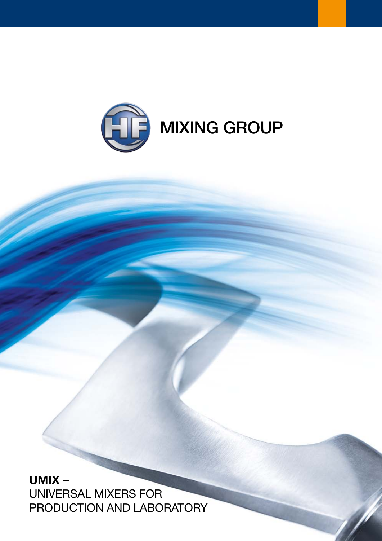

UMIX – Universal Mixers for PRODUCTION AND LABORATORY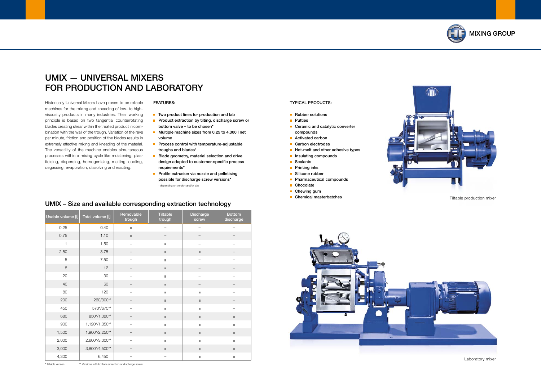## MIXING GROUP



Historically Universal Mixers have proven to be reliable machines for the mixing and kneading of low- to highviscosity products in many industries. Their working principle is based on two tangential counterrotating blades creating shear within the treated product in combination with the wall of the trough. Variation of the revs per minute, friction and position of the blades results in extremely effective mixing and kneading of the material. The versatility of the machine enables simultaneous processes within a mixing cycle like moistening, plasticising, dispersing, homogenising, melting, cooling, degassing, evaporation, dissolving and reacting.

- $\blacksquare$  Two product lines for production and lab
- **Product extraction by tilting, discharge screw or** bottom valve – to be chosen\*
- Multiple machine sizes from 0.25 to 4,300 l net volume
- **Process control with temperature-adjustable** troughs and blades\*
- **Blade geometry, material selection and drive** design adapted to customer-specific process requirements\*
- **Profile extrusion via nozzle and pelletising** possible for discharge screw versions\* \* depending on version and/or size

# UMIX — Universal Mixers FOR PRODUCTION AND LABORATORY

#### Features:

| Usable volume [I] | Total volume [I] | Removable<br>trough      | <b>Tiltable</b><br>trough    | <b>Discharge</b><br>screw | <b>Bottom</b><br>discharge   |
|-------------------|------------------|--------------------------|------------------------------|---------------------------|------------------------------|
| 0.25              | 0.40             | $\overline{\phantom{a}}$ | $\overline{\phantom{0}}$     |                           |                              |
| 0.75              | 1.10             | $\blacksquare$           |                              |                           |                              |
| $\mathbf{1}$      | 1.50             | —                        | $\overline{\phantom{a}}$     |                           |                              |
| 2.50              | 3.75             | —                        | $\qquad \qquad \blacksquare$ | $\blacksquare$            |                              |
| 5                 | 7.50             |                          | п                            |                           |                              |
| 8                 | 12               | —                        | $\qquad \qquad \blacksquare$ |                           |                              |
| 20                | 30               |                          | п                            |                           |                              |
| 40                | 60               |                          | $\qquad \qquad \blacksquare$ |                           |                              |
| 80                | 120              |                          | ш                            | ш                         |                              |
| 200               | 260/300**        |                          | $\qquad \qquad \blacksquare$ | m.                        |                              |
| 450               | 570*/675**       | $\overline{\phantom{0}}$ | $\blacksquare$               | ш                         |                              |
| 680               | 850*/1,020**     |                          | $\qquad \qquad \blacksquare$ | $\blacksquare$            | $\blacksquare$               |
| 900               | 1,120*/1,350**   |                          | $\blacksquare$               | ш                         | ш                            |
| 1,500             | 1,900*/2,250**   |                          | $\qquad \qquad \blacksquare$ | $\blacksquare$            | $\blacksquare$               |
| 2,000             | 2,600*/3,000**   |                          | ш                            | п                         | $\overline{\phantom{a}}$     |
| 3,000             | 3,800*/4,500**   |                          | $\qquad \qquad \blacksquare$ | $\blacksquare$            | $\qquad \qquad \blacksquare$ |
| 4,300             | 6,450            |                          |                              | $\overline{\phantom{a}}$  | o.                           |

### UMIX – Size and available corresponding extraction technology



\* Tiltable version \*\* Versions with bottom extraction or discharge screw



Tiltable production mixer

Laboratory mixer

#### Typical Products:

- Rubber solutions
- **Putties**
- Ceramic and catalytic converter compounds
- Activated carbon
- Carbon electrodes
- $\blacksquare$  Hot-melt and other adhesive types
- **Insulating compounds**
- Sealants
- **Printing inks**
- Silicone rubber
- **Pharmaceutical compounds**
- Chocolate
- Chewing gum
- Chemical masterbatches